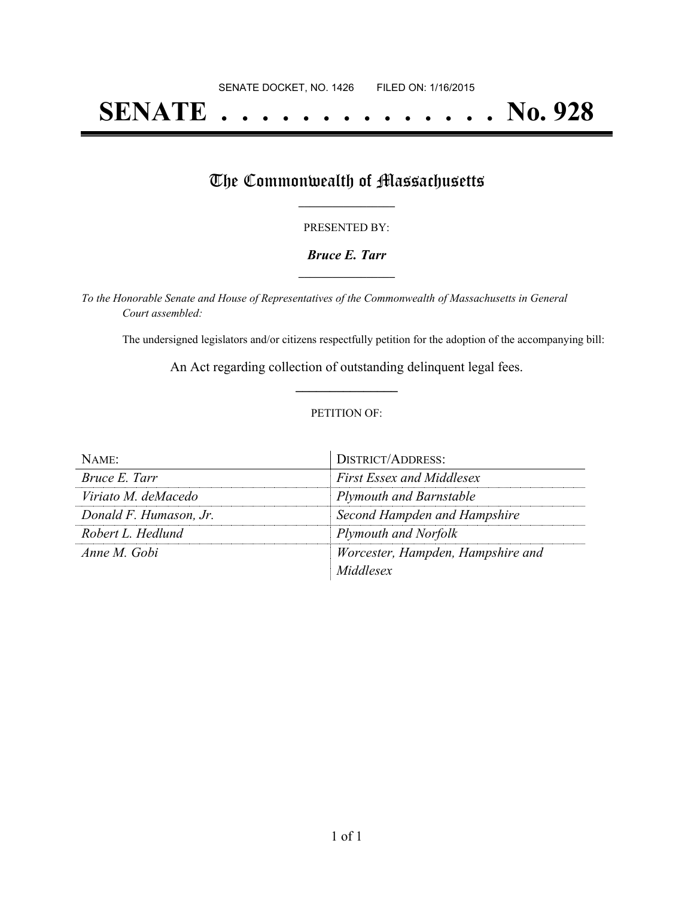# **SENATE . . . . . . . . . . . . . . No. 928**

## The Commonwealth of Massachusetts

#### PRESENTED BY:

#### *Bruce E. Tarr* **\_\_\_\_\_\_\_\_\_\_\_\_\_\_\_\_\_**

*To the Honorable Senate and House of Representatives of the Commonwealth of Massachusetts in General Court assembled:*

The undersigned legislators and/or citizens respectfully petition for the adoption of the accompanying bill:

An Act regarding collection of outstanding delinquent legal fees. **\_\_\_\_\_\_\_\_\_\_\_\_\_\_\_**

#### PETITION OF:

| $N$ AME:               | <b>DISTRICT/ADDRESS:</b>          |
|------------------------|-----------------------------------|
| Bruce E. Tarr          | <b>First Essex and Middlesex</b>  |
| Viriato M. deMacedo    | <b>Plymouth and Barnstable</b>    |
| Donald F. Humason, Jr. | Second Hampden and Hampshire      |
| Robert L. Hedlund      | Plymouth and Norfolk              |
| Anne M. Gobi           | Worcester, Hampden, Hampshire and |
|                        | Middlesex                         |